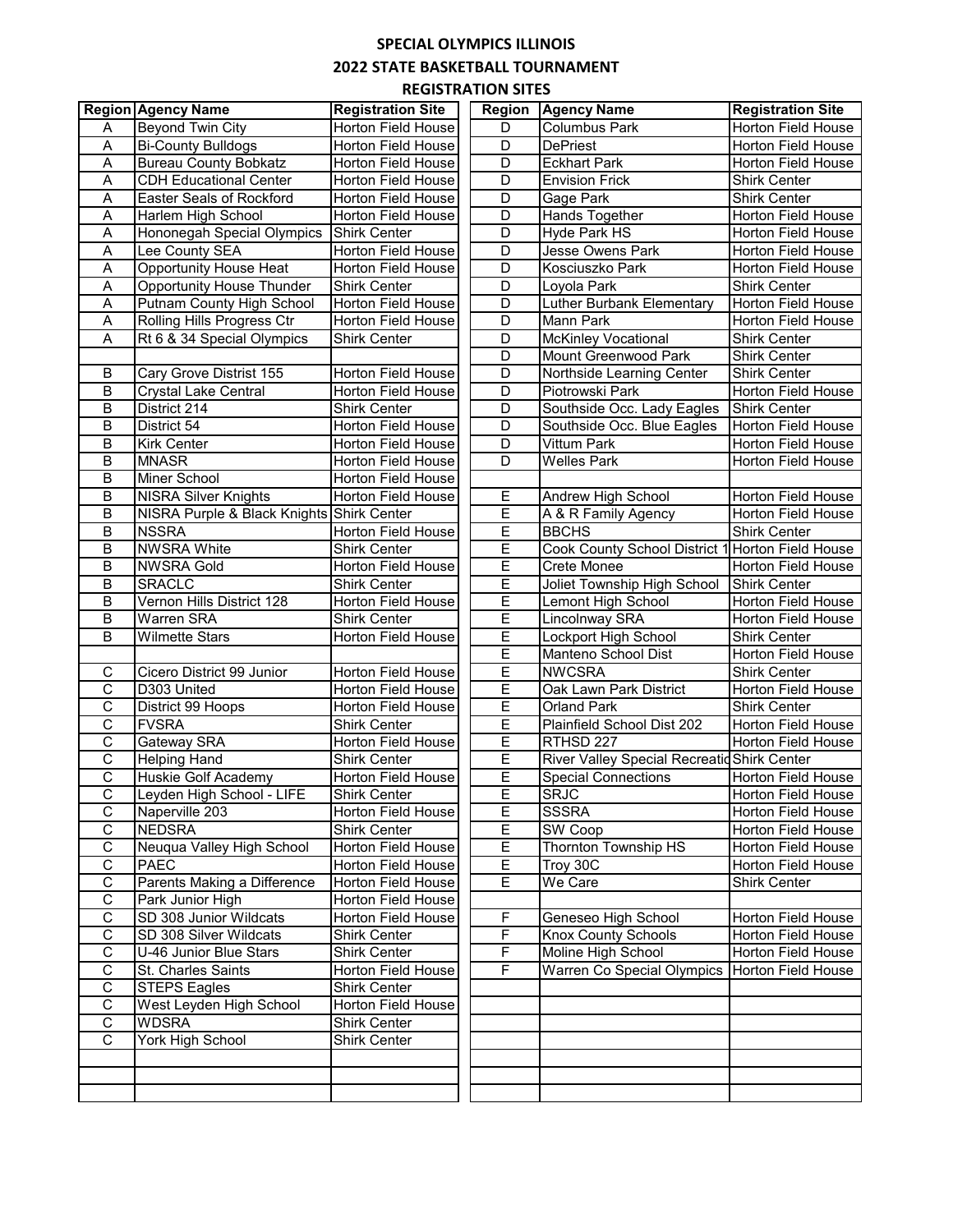## **SPECIAL OLYMPICS ILLINOIS 2022 STATE BASKETBALL TOURNAMENT REGISTRATION SITES**

|                       | <b>Region Agency Name</b>                | <b>Registration Site</b>  |                     | <b>Region Agency Name</b>                        | <b>Registration Site</b>                  |
|-----------------------|------------------------------------------|---------------------------|---------------------|--------------------------------------------------|-------------------------------------------|
| Α                     | <b>Beyond Twin City</b>                  | <b>Horton Field House</b> | D                   | <b>Columbus Park</b>                             | <b>Horton Field House</b>                 |
| Α                     | <b>Bi-County Bulldogs</b>                | Horton Field House        | D                   | <b>DePriest</b>                                  | Horton Field House                        |
| Α                     | <b>Bureau County Bobkatz</b>             | <b>Horton Field House</b> | D                   | <b>Eckhart Park</b>                              | Horton Field House                        |
| A                     | <b>CDH Educational Center</b>            | Horton Field House        | D                   | <b>Envision Frick</b>                            | <b>Shirk Center</b>                       |
| A                     | Easter Seals of Rockford                 | <b>Horton Field House</b> | D                   | Gage Park                                        | <b>Shirk Center</b>                       |
| A                     | Harlem High School                       | Horton Field House        | D                   | Hands Together                                   | Horton Field House                        |
| A                     | Hononegah Special Olympics               | <b>Shirk Center</b>       | D                   | <b>Hyde Park HS</b>                              | Horton Field House                        |
| A                     | Lee County SEA                           | Horton Field House        | D                   | Jesse Owens Park                                 | Horton Field House                        |
| A                     | <b>Opportunity House Heat</b>            | Horton Field House        | D                   | Kosciuszko Park                                  | Horton Field House                        |
| Α                     | <b>Opportunity House Thunder</b>         | <b>Shirk Center</b>       | D                   | Loyola Park                                      | <b>Shirk Center</b>                       |
| Α                     | Putnam County High School                | Horton Field House        | D                   | Luther Burbank Elementary                        | Horton Field House                        |
| A                     | Rolling Hills Progress Ctr               | <b>Horton Field House</b> | D                   | <b>Mann Park</b>                                 | Horton Field House                        |
| A                     | Rt 6 & 34 Special Olympics               | <b>Shirk Center</b>       | D                   | <b>McKinley Vocational</b>                       | <b>Shirk Center</b>                       |
|                       |                                          |                           | $\overline{D}$      | Mount Greenwood Park                             | <b>Shirk Center</b>                       |
| B                     | Cary Grove Distrist 155                  | Horton Field House        | D                   | Northside Learning Center                        | <b>Shirk Center</b>                       |
| B                     | Crystal Lake Central                     | Horton Field House        | D                   | Piotrowski Park                                  | Horton Field House                        |
| B                     | District 214                             | <b>Shirk Center</b>       | D                   | Southside Occ. Lady Eagles                       | <b>Shirk Center</b>                       |
| B                     | District 54                              | Horton Field House        | D                   | Southside Occ. Blue Eagles                       | Horton Field House                        |
| В                     | Kirk Center                              | Horton Field House        | D                   | Vittum Park                                      | <b>Horton Field House</b>                 |
| $\overline{B}$        | <b>MNASR</b>                             | <b>Horton Field House</b> | D                   | Welles Park                                      | Horton Field House                        |
| $\overline{B}$        | Miner School                             | Horton Field House        |                     |                                                  |                                           |
| B                     | <b>NISRA Silver Knights</b>              | <b>Horton Field House</b> | E                   | Andrew High School                               | Horton Field House                        |
| $\overline{B}$        | NISRA Purple & Black Knights             | Shirk Center              | E                   | A & R Family Agency                              | Horton Field House                        |
| $\overline{B}$        | <b>NSSRA</b>                             | Horton Field House        | Ē                   | <b>BBCHS</b>                                     | <b>Shirk Center</b>                       |
| $\overline{B}$        | <b>NWSRA White</b>                       | <b>Shirk Center</b>       | $\overline{E}$      | Cook County School District 1 Horton Field House |                                           |
| B                     | <b>NWSRA Gold</b>                        | <b>Horton Field House</b> | Ε                   | Crete Monee                                      | Horton Field House                        |
| B                     | SRACLC                                   | <b>Shirk Center</b>       | Ε                   | Joliet Township High School                      | <b>Shirk Center</b>                       |
| $\overline{B}$        | Vernon Hills District 128                | Horton Field House        | Ē                   | Lemont High School                               | Horton Field House                        |
| $\overline{B}$        | Warren SRA                               | <b>Shirk Center</b>       | Έ                   | Lincolnway SRA                                   | Horton Field House                        |
| B                     | <b>Wilmette Stars</b>                    | Horton Field House        | $\overline{E}$<br>Έ | Lockport High School                             | Shirk Center                              |
| C                     |                                          | Horton Field House        | E                   | Manteno School Dist<br><b>NWCSRA</b>             | Horton Field House                        |
| $\overline{C}$        | Cicero District 99 Junior<br>D303 United | Horton Field House        | Ē                   | Oak Lawn Park District                           | <b>Shirk Center</b><br>Horton Field House |
| $\mathsf C$           | District 99 Hoops                        | Horton Field House        | Ε                   | <b>Orland Park</b>                               | <b>Shirk Center</b>                       |
| $\mathsf C$           | <b>FVSRA</b>                             | <b>Shirk Center</b>       | E                   | Plainfield School Dist 202                       | Horton Field House                        |
| $\mathsf C$           | Gateway SRA                              | Horton Field House        | E                   | RTHSD 227                                        | Horton Field House                        |
| $\overline{\text{c}}$ | <b>Helping Hand</b>                      | <b>Shirk Center</b>       | Έ                   | River Valley Special Recreatid Shirk Center      |                                           |
| $\overline{\text{c}}$ | Huskie Golf Academy                      | Horton Field House        | E                   | <b>Special Connections</b>                       | Horton Field House                        |
| $\overline{C}$        | Leyden High School - LIFE                | <b>Shirk Center</b>       | E                   | <b>SRJC</b>                                      | <b>Horton Field House</b>                 |
| C                     | Naperville 203                           | Horton Field House        | E                   | <b>SSSRA</b>                                     | Horton Field House                        |
| C                     | <b>NEDSRA</b>                            | Shirk Center              | E                   | SW Coop                                          | Horton Field House                        |
| C                     | Neuqua Valley High School                | <b>Horton Field House</b> | E                   | Thornton Township HS                             | Horton Field House                        |
| $\mathsf C$           | <b>PAEC</b>                              | Horton Field House        | E                   | Troy 30C                                         | Horton Field House                        |
| C                     | Parents Making a Difference              | Horton Field House        | E                   | We Care                                          | <b>Shirk Center</b>                       |
| $\mathsf C$           | Park Junior High                         | Horton Field House        |                     |                                                  |                                           |
| $\overline{C}$        | SD 308 Junior Wildcats                   | Horton Field House        | $\mathsf F$         | Geneseo High School                              | Horton Field House                        |
| $\overline{C}$        | SD 308 Silver Wildcats                   | <b>Shirk Center</b>       | $\overline{F}$      | <b>Knox County Schools</b>                       | Horton Field House                        |
| $\overline{C}$        | U-46 Junior Blue Stars                   | <b>Shirk Center</b>       | $\overline{F}$      | Moline High School                               | Horton Field House                        |
| $\overline{\text{c}}$ | St. Charles Saints                       | <b>Horton Field House</b> | F                   | <b>Warren Co Special Olympics</b>                | <b>Horton Field House</b>                 |
| $\overline{\text{c}}$ | <b>STEPS Eagles</b>                      | <b>Shirk Center</b>       |                     |                                                  |                                           |
| C                     | West Leyden High School                  | Horton Field House        |                     |                                                  |                                           |
| $\mathsf C$           | <b>WDSRA</b>                             | <b>Shirk Center</b>       |                     |                                                  |                                           |
| C                     | York High School                         | <b>Shirk Center</b>       |                     |                                                  |                                           |
|                       |                                          |                           |                     |                                                  |                                           |
|                       |                                          |                           |                     |                                                  |                                           |
|                       |                                          |                           |                     |                                                  |                                           |